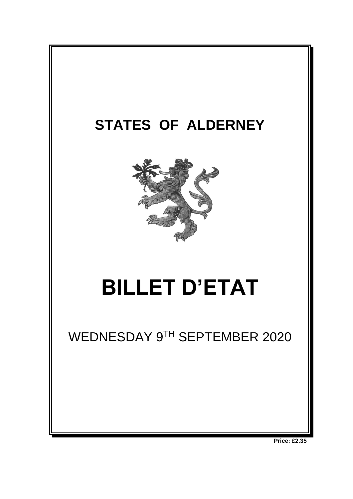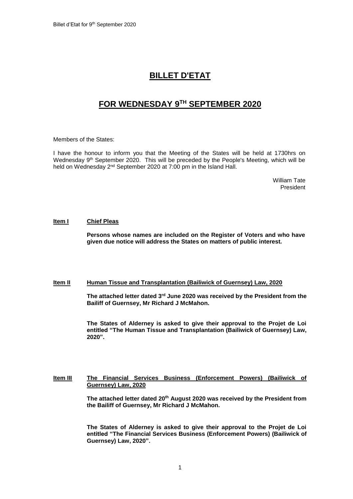# **BILLET D'ETAT**

# **FOR WEDNESDAY 9 TH SEPTEMBER 2020**

Members of the States:

I have the honour to inform you that the Meeting of the States will be held at 1730hrs on Wednesday 9<sup>th</sup> September 2020. This will be preceded by the People's Meeting, which will be held on Wednesday 2<sup>nd</sup> September 2020 at 7:00 pm in the Island Hall.

> William Tate President

## **Item I Chief Pleas**

**Persons whose names are included on the Register of Voters and who have given due notice will address the States on matters of public interest.**

## **Item II Human Tissue and Transplantation (Bailiwick of Guernsey) Law, 2020**

**The attached letter dated 3rd June 2020 was received by the President from the Bailiff of Guernsey, Mr Richard J McMahon.**

**The States of Alderney is asked to give their approval to the Projet de Loi entitled "The Human Tissue and Transplantation (Bailiwick of Guernsey) Law, 2020".**

# **Item III The Financial Services Business (Enforcement Powers) (Bailiwick of Guernsey) Law, 2020**

**The attached letter dated 20th August 2020 was received by the President from the Bailiff of Guernsey, Mr Richard J McMahon.**

**The States of Alderney is asked to give their approval to the Projet de Loi entitled "The Financial Services Business (Enforcement Powers) (Bailiwick of Guernsey) Law, 2020".**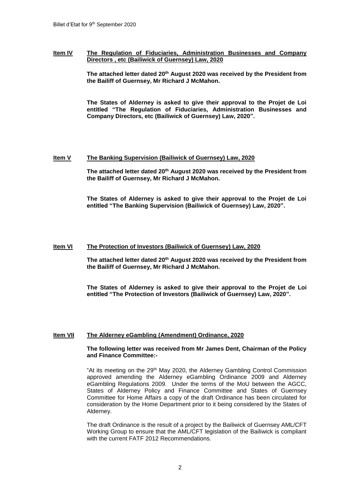## **Item IV The Regulation of Fiduciaries, Administration Businesses and Company Directors , etc (Bailiwick of Guernsey) Law, 2020**

**The attached letter dated 20th August 2020 was received by the President from the Bailiff of Guernsey, Mr Richard J McMahon.**

**The States of Alderney is asked to give their approval to the Projet de Loi entitled "The Regulation of Fiduciaries, Administration Businesses and Company Directors, etc (Bailiwick of Guernsey) Law, 2020".**

#### **Item V The Banking Supervision (Bailiwick of Guernsey) Law, 2020**

**The attached letter dated 20th August 2020 was received by the President from the Bailiff of Guernsey, Mr Richard J McMahon.**

**The States of Alderney is asked to give their approval to the Projet de Loi entitled "The Banking Supervision (Bailiwick of Guernsey) Law, 2020".**

#### **Item VI The Protection of Investors (Bailiwick of Guernsey) Law, 2020**

**The attached letter dated 20th August 2020 was received by the President from the Bailiff of Guernsey, Mr Richard J McMahon.**

**The States of Alderney is asked to give their approval to the Projet de Loi entitled "The Protection of Investors (Bailiwick of Guernsey) Law, 2020".**

## **Item VII The Alderney eGambling (Amendment) Ordinance, 2020**

## **The following letter was received from Mr James Dent, Chairman of the Policy and Finance Committee:-**

"At its meeting on the 29th May 2020, the Alderney Gambling Control Commission approved amending the Alderney eGambling Ordinance 2009 and Alderney eGambling Regulations 2009. Under the terms of the MoU between the AGCC, States of Alderney Policy and Finance Committee and States of Guernsey Committee for Home Affairs a copy of the draft Ordinance has been circulated for consideration by the Home Department prior to it being considered by the States of Alderney.

The draft Ordinance is the result of a project by the Bailiwick of Guernsey AML/CFT Working Group to ensure that the AML/CFT legislation of the Bailiwick is compliant with the current FATF 2012 Recommendations.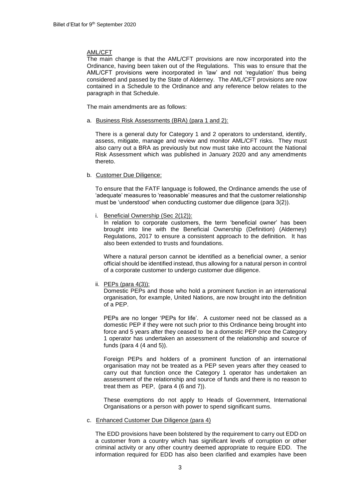# AML/CFT

The main change is that the AML/CFT provisions are now incorporated into the Ordinance, having been taken out of the Regulations. This was to ensure that the AML/CFT provisions were incorporated in 'law' and not 'regulation' thus being considered and passed by the State of Alderney. The AML/CFT provisions are now contained in a Schedule to the Ordinance and any reference below relates to the paragraph in that Schedule.

The main amendments are as follows:

a. Business Risk Assessments (BRA) (para 1 and 2):

There is a general duty for Category 1 and 2 operators to understand, identify, assess, mitigate, manage and review and monitor AML/CFT risks. They must also carry out a BRA as previously but now must take into account the National Risk Assessment which was published in January 2020 and any amendments thereto.

## b. Customer Due Diligence:

To ensure that the FATF language is followed, the Ordinance amends the use of 'adequate' measures to 'reasonable' measures and that the customer relationship must be 'understood' when conducting customer due diligence (para 3(2)).

i. Beneficial Ownership (Sec 2(12)):

In relation to corporate customers, the term 'beneficial owner' has been brought into line with the Beneficial Ownership (Definition) (Alderney) Regulations, 2017 to ensure a consistent approach to the definition. It has also been extended to trusts and foundations.

Where a natural person cannot be identified as a beneficial owner, a senior official should be identified instead, thus allowing for a natural person in control of a corporate customer to undergo customer due diligence.

ii. PEPs (para 4(3)):

Domestic PEPs and those who hold a prominent function in an international organisation, for example, United Nations, are now brought into the definition of a PEP.

PEPs are no longer 'PEPs for life'. A customer need not be classed as a domestic PEP if they were not such prior to this Ordinance being brought into force and 5 years after they ceased to be a domestic PEP once the Category 1 operator has undertaken an assessment of the relationship and source of funds (para 4 (4 and 5)).

Foreign PEPs and holders of a prominent function of an international organisation may not be treated as a PEP seven years after they ceased to carry out that function once the Category 1 operator has undertaken an assessment of the relationship and source of funds and there is no reason to treat them as PEP, (para  $4(6 \text{ and } 7)$ ).

These exemptions do not apply to Heads of Government, International Organisations or a person with power to spend significant sums.

## c. Enhanced Customer Due Diligence (para 4)

The EDD provisions have been bolstered by the requirement to carry out EDD on a customer from a country which has significant levels of corruption or other criminal activity or any other country deemed appropriate to require EDD. The information required for EDD has also been clarified and examples have been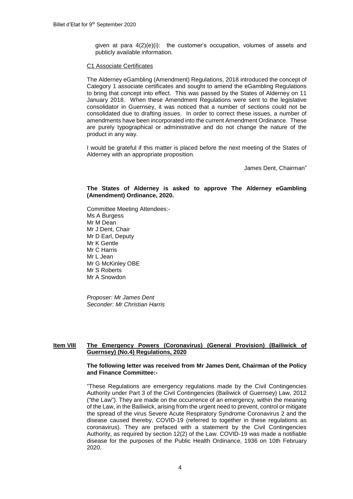given at para 4(2)(e)(i): the customer's occupation, volumes of assets and publicly available information.

# C1 Associate Certificates

The Alderney eGambling (Amendment) Regulations, 2018 introduced the concept of Category 1 associate certificates and sought to amend the eGambling Regulations to bring that concept into effect. This was passed by the States of Alderney on 11 January 2018. When these Amendment Regulations were sent to the legislative consolidator in Guernsey, it was noticed that a number of sections could not be consolidated due to drafting issues. In order to correct these issues, a number of amendments have been incorporated into the current Amendment Ordinance. These are purely typographical or administrative and do not change the nature of the product in any way.

I would be grateful if this matter is placed before the next meeting of the States of Alderney with an appropriate proposition.

James Dent, Chairman"

# **The States of Alderney is asked to approve The Alderney eGambling (Amendment) Ordinance, 2020.**

Committee Meeting Attendees:- Ms A Burgess Mr M Dean Mr J Dent, Chair Mr D Earl, Deputy Mr K Gentle Mr C Harris Mr L Jean Mr G McKinley OBE Mr S Roberts Mr A Snowdon

*Proposer: Mr James Dent Seconder: Mr Christian Harris*

# **Item VIII The Emergency Powers (Coronavirus) (General Provision) (Bailiwick of Guernsey) (No.4) Regulations, 2020**

## **The following letter was received from Mr James Dent, Chairman of the Policy and Finance Committee:-**

"These Regulations are emergency regulations made by the Civil Contingencies Authority under Part 3 of the Civil Contingencies (Bailiwick of Guernsey) Law, 2012 ("the Law"). They are made on the occurrence of an emergency, within the meaning of the Law, in the Bailiwick, arising from the urgent need to prevent, control or mitigate the spread of the virus Severe Acute Respiratory Syndrome Coronavirus 2 and the disease caused thereby, COVID-19 (referred to together in these regulations as coronavirus). They are prefaced with a statement by the Civil Contingencies Authority, as required by section 12(2) of the Law. COVID-19 was made a notifiable disease for the purposes of the Public Health Ordinance, 1936 on 10th February 2020.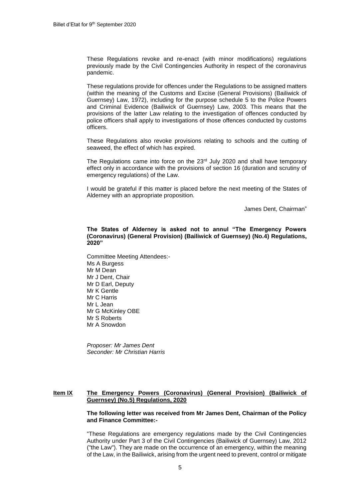These Regulations revoke and re-enact (with minor modifications) regulations previously made by the Civil Contingencies Authority in respect of the coronavirus pandemic.

These regulations provide for offences under the Regulations to be assigned matters (within the meaning of the Customs and Excise (General Provisions) (Bailiwick of Guernsey) Law, 1972), including for the purpose schedule 5 to the Police Powers and Criminal Evidence (Bailiwick of Guernsey) Law, 2003. This means that the provisions of the latter Law relating to the investigation of offences conducted by police officers shall apply to investigations of those offences conducted by customs officers.

These Regulations also revoke provisions relating to schools and the cutting of seaweed, the effect of which has expired.

The Regulations came into force on the  $23<sup>rd</sup>$  July 2020 and shall have temporary effect only in accordance with the provisions of section 16 (duration and scrutiny of emergency regulations) of the Law.

I would be grateful if this matter is placed before the next meeting of the States of Alderney with an appropriate proposition.

James Dent, Chairman"

**The States of Alderney is asked not to annul "The Emergency Powers (Coronavirus) (General Provision) (Bailiwick of Guernsey) (No.4) Regulations, 2020"** 

Committee Meeting Attendees:- Ms A Burgess Mr M Dean Mr J Dent, Chair Mr D Earl, Deputy Mr K Gentle Mr C Harris Mr L Jean Mr G McKinley OBE Mr S Roberts Mr A Snowdon

*Proposer: Mr James Dent Seconder: Mr Christian Harris*

# **Item IX The Emergency Powers (Coronavirus) (General Provision) (Bailiwick of Guernsey) (No.5) Regulations, 2020**

## **The following letter was received from Mr James Dent, Chairman of the Policy and Finance Committee:-**

"These Regulations are emergency regulations made by the Civil Contingencies Authority under Part 3 of the Civil Contingencies (Bailiwick of Guernsey) Law, 2012 ("the Law"). They are made on the occurrence of an emergency, within the meaning of the Law, in the Bailiwick, arising from the urgent need to prevent, control or mitigate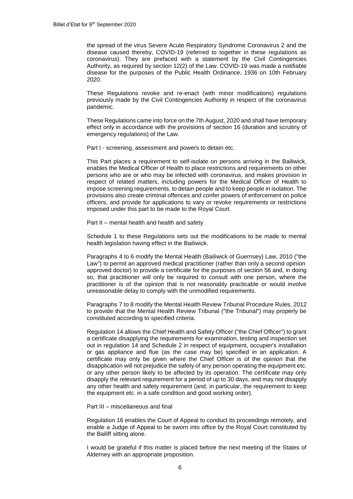the spread of the virus Severe Acute Respiratory Syndrome Coronavirus 2 and the disease caused thereby, COVID-19 (referred to together in these regulations as coronavirus). They are prefaced with a statement by the Civil Contingencies Authority, as required by section 12(2) of the Law. COVID-19 was made a notifiable disease for the purposes of the Public Health Ordinance, 1936 on 10th February 2020.

These Regulations revoke and re-enact (with minor modifications) regulations previously made by the Civil Contingencies Authority in respect of the coronavirus pandemic.

These Regulations came into force on the 7th August, 2020 and shall have temporary effect only in accordance with the provisions of section 16 (duration and scrutiny of emergency regulations) of the Law.

Part I - screening, assessment and powers to detain etc.

This Part places a requirement to self-isolate on persons arriving in the Bailiwick, enables the Medical Officer of Health to place restrictions and requirements on other persons who are or who may be infected with coronavirus, and makes provision in respect of related matters, including powers for the Medical Officer of Health to impose screening requirements, to detain people and to keep people in isolation. The provisions also create criminal offences and confer powers of enforcement on police officers, and provide for applications to vary or revoke requirements or restrictions imposed under this part to be made to the Royal Court.

Part II – mental health and health and safety

Schedule 1 to these Regulations sets out the modifications to be made to mental health legislation having effect in the Bailiwick.

Paragraphs 4 to 6 modify the Mental Health (Bailiwick of Guernsey) Law, 2010 ("the Law") to permit an approved medical practitioner (rather than only a second opinion approved doctor) to provide a certificate for the purposes of section 56 and, in doing so, that practitioner will only be required to consult with one person, where the practitioner is of the opinion that is not reasonably practicable or would involve unreasonable delay to comply with the unmodified requirements.

Paragraphs 7 to 8 modify the Mental Health Review Tribunal Procedure Rules, 2012 to provide that the Mental Health Review Tribunal ("the Tribunal") may properly be constituted according to specified criteria.

Regulation 14 allows the Chief Health and Safety Officer ("the Chief Officer") to grant a certificate disapplying the requirements for examination, testing and inspection set out in regulation 14 and Schedule 2 in respect of equipment, occupier's installation or gas appliance and flue (as the case may be) specified in an application. A certificate may only be given where the Chief Officer is of the opinion that the disapplication will not prejudice the safety of any person operating the equipment etc. or any other person likely to be affected by its operation. The certificate may only disapply the relevant requirement for a period of up to 30 days, and may not disapply any other health and safety requirement (and, in particular, the requirement to keep the equipment etc. in a safe condition and good working order).

#### Part III – miscellaneous and final

Regulation 16 enables the Court of Appeal to conduct its proceedings remotely, and enable a Judge of Appeal to be sworn into office by the Royal Court constituted by the Bailiff sitting alone.

I would be grateful if this matter is placed before the next meeting of the States of Alderney with an appropriate proposition.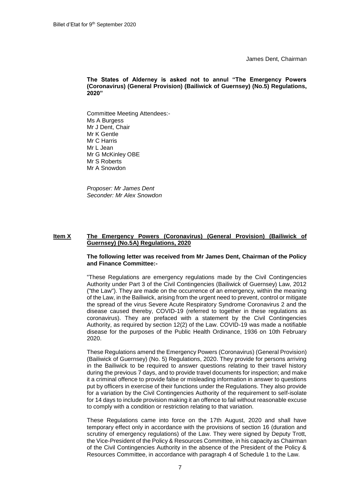James Dent, Chairman

**The States of Alderney is asked not to annul "The Emergency Powers (Coronavirus) (General Provision) (Bailiwick of Guernsey) (No.5) Regulations, 2020"** 

Committee Meeting Attendees:- Ms A Burgess Mr J Dent, Chair Mr K Gentle Mr C Harris Mr L Jean Mr G McKinley OBE Mr S Roberts Mr A Snowdon

*Proposer: Mr James Dent Seconder: Mr Alex Snowdon*

# **Item X The Emergency Powers (Coronavirus) (General Provision) (Bailiwick of Guernsey) (No.5A) Regulations, 2020**

# **The following letter was received from Mr James Dent, Chairman of the Policy and Finance Committee:-**

"These Regulations are emergency regulations made by the Civil Contingencies Authority under Part 3 of the Civil Contingencies (Bailiwick of Guernsey) Law, 2012 ("the Law"). They are made on the occurrence of an emergency, within the meaning of the Law, in the Bailiwick, arising from the urgent need to prevent, control or mitigate the spread of the virus Severe Acute Respiratory Syndrome Coronavirus 2 and the disease caused thereby, COVID-19 (referred to together in these regulations as coronavirus). They are prefaced with a statement by the Civil Contingencies Authority, as required by section 12(2) of the Law. COVID-19 was made a notifiable disease for the purposes of the Public Health Ordinance, 1936 on 10th February 2020.

These Regulations amend the Emergency Powers (Coronavirus) (General Provision) (Bailiwick of Guernsey) (No. 5) Regulations, 2020. They provide for persons arriving in the Bailiwick to be required to answer questions relating to their travel history during the previous 7 days, and to provide travel documents for inspection; and make it a criminal offence to provide false or misleading information in answer to questions put by officers in exercise of their functions under the Regulations. They also provide for a variation by the Civil Contingencies Authority of the requirement to self-isolate for 14 days to include provision making it an offence to fail without reasonable excuse to comply with a condition or restriction relating to that variation.

These Regulations came into force on the 17th August, 2020 and shall have temporary effect only in accordance with the provisions of section 16 (duration and scrutiny of emergency regulations) of the Law. They were signed by Deputy Trott, the Vice-President of the Policy & Resources Committee, in his capacity as Chairman of the Civil Contingencies Authority in the absence of the President of the Policy & Resources Committee, in accordance with paragraph 4 of Schedule 1 to the Law.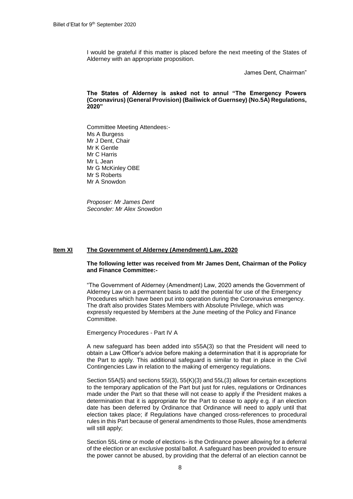I would be grateful if this matter is placed before the next meeting of the States of Alderney with an appropriate proposition.

James Dent, Chairman"

**The States of Alderney is asked not to annul "The Emergency Powers (Coronavirus) (General Provision) (Bailiwick of Guernsey) (No.5A) Regulations, 2020"** 

Committee Meeting Attendees:- Ms A Burgess Mr J Dent, Chair Mr K Gentle Mr C Harris Mr L Jean Mr G McKinley OBE Mr S Roberts Mr A Snowdon

*Proposer: Mr James Dent Seconder: Mr Alex Snowdon*

## **Item XI The Government of Alderney (Amendment) Law, 2020**

#### **The following letter was received from Mr James Dent, Chairman of the Policy and Finance Committee:-**

"The Government of Alderney (Amendment) Law, 2020 amends the Government of Alderney Law on a permanent basis to add the potential for use of the Emergency Procedures which have been put into operation during the Coronavirus emergency. The draft also provides States Members with Absolute Privilege, which was expressly requested by Members at the June meeting of the Policy and Finance Committee.

Emergency Procedures - Part IV A

A new safeguard has been added into s55A(3) so that the President will need to obtain a Law Officer's advice before making a determination that it is appropriate for the Part to apply. This additional safeguard is similar to that in place in the Civil Contingencies Law in relation to the making of emergency regulations.

Section 55A(5) and sections 55I(3), 55(K)(3) and 55L(3) allows for certain exceptions to the temporary application of the Part but just for rules, regulations or Ordinances made under the Part so that these will not cease to apply if the President makes a determination that it is appropriate for the Part to cease to apply e.g. if an election date has been deferred by Ordinance that Ordinance will need to apply until that election takes place; if Regulations have changed cross-references to procedural rules in this Part because of general amendments to those Rules, those amendments will still apply;

Section 55L-time or mode of elections- is the Ordinance power allowing for a deferral of the election or an exclusive postal ballot. A safeguard has been provided to ensure the power cannot be abused, by providing that the deferral of an election cannot be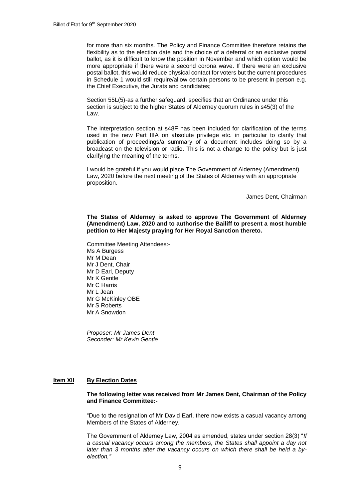for more than six months. The Policy and Finance Committee therefore retains the flexibility as to the election date and the choice of a deferral or an exclusive postal ballot, as it is difficult to know the position in November and which option would be more appropriate if there were a second corona wave. If there were an exclusive postal ballot, this would reduce physical contact for voters but the current procedures in Schedule 1 would still require/allow certain persons to be present in person e.g. the Chief Executive, the Jurats and candidates;

Section 55L(5)-as a further safeguard, specifies that an Ordinance under this section is subject to the higher States of Alderney quorum rules in s45(3) of the Law.

The interpretation section at s48F has been included for clarification of the terms used in the new Part IIIA on absolute privilege etc. in particular to clarify that publication of proceedings/a summary of a document includes doing so by a broadcast on the television or radio. This is not a change to the policy but is just clarifying the meaning of the terms.

I would be grateful if you would place The Government of Alderney (Amendment) Law, 2020 before the next meeting of the States of Alderney with an appropriate proposition.

James Dent, Chairman

**The States of Alderney is asked to approve The Government of Alderney (Amendment) Law, 2020 and to authorise the Bailiff to present a most humble petition to Her Majesty praying for Her Royal Sanction thereto.**

Committee Meeting Attendees:- Ms A Burgess Mr M Dean Mr J Dent, Chair Mr D Earl, Deputy Mr K Gentle Mr C Harris Mr L Jean Mr G McKinley OBE Mr S Roberts Mr A Snowdon

*Proposer: Mr James Dent Seconder: Mr Kevin Gentle*

# **Item XII By Election Dates**

**The following letter was received from Mr James Dent, Chairman of the Policy and Finance Committee:-**

"Due to the resignation of Mr David Earl, there now exists a casual vacancy among Members of the States of Alderney.

The Government of Alderney Law, 2004 as amended, states under section 28(3) "*If a casual vacancy occurs among the members, the States shall appoint a day not later than 3 months after the vacancy occurs on which there shall be held a byelection,"*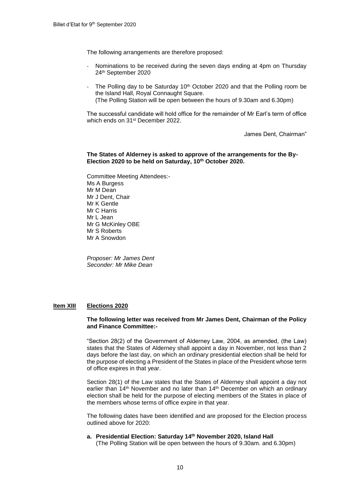The following arrangements are therefore proposed:

- Nominations to be received during the seven days ending at 4pm on Thursday 24th September 2020
- The Polling day to be Saturday 10<sup>th</sup> October 2020 and that the Polling room be the Island Hall, Royal Connaught Square. (The Polling Station will be open between the hours of 9.30am and 6.30pm)

The successful candidate will hold office for the remainder of Mr Earl's term of office which ends on 31<sup>st</sup> December 2022.

James Dent, Chairman"

#### **The States of Alderney is asked to approve of the arrangements for the By-Election 2020 to be held on Saturday, 10th October 2020.**

Committee Meeting Attendees:- Ms A Burgess Mr M Dean Mr J Dent, Chair Mr K Gentle Mr C Harris Mr L Jean Mr G McKinley OBE Mr S Roberts Mr A Snowdon

*Proposer: Mr James Dent Seconder: Mr Mike Dean*

## **Item XIII Elections 2020**

#### **The following letter was received from Mr James Dent, Chairman of the Policy and Finance Committee:-**

"Section 28(2) of the Government of Alderney Law, 2004, as amended, (the Law) states that the States of Alderney shall appoint a day in November, not less than 2 days before the last day, on which an ordinary presidential election shall be held for the purpose of electing a President of the States in place of the President whose term of office expires in that year.

Section 28(1) of the Law states that the States of Alderney shall appoint a day not earlier than  $14<sup>th</sup>$  November and no later than  $14<sup>th</sup>$  December on which an ordinary election shall be held for the purpose of electing members of the States in place of the members whose terms of office expire in that year.

The following dates have been identified and are proposed for the Election process outlined above for 2020:

# **a. Presidential Election: Saturday 14th November 2020, Island Hall**

(The Polling Station will be open between the hours of 9.30am. and 6.30pm)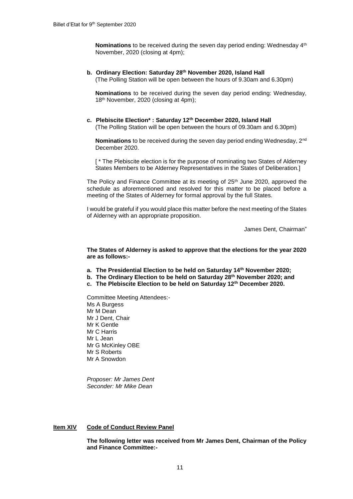**Nominations** to be received during the seven day period ending: Wednesday 4<sup>th</sup> November, 2020 (closing at 4pm);

#### **b. Ordinary Election: Saturday 28th November 2020, Island Hall** (The Polling Station will be open between the hours of 9.30am and 6.30pm)

**Nominations** to be received during the seven day period ending: Wednesday, 18<sup>th</sup> November, 2020 (closing at 4pm);

**c. Plebiscite Election\* : Saturday 12th December 2020, Island Hall** (The Polling Station will be open between the hours of 09.30am and 6.30pm)

**Nominations** to be received during the seven day period ending Wednesday, 2nd December 2020.

[\* The Plebiscite election is for the purpose of nominating two States of Alderney States Members to be Alderney Representatives in the States of Deliberation.]

The Policy and Finance Committee at its meeting of 25<sup>th</sup> June 2020, approved the schedule as aforementioned and resolved for this matter to be placed before a meeting of the States of Alderney for formal approval by the full States.

I would be grateful if you would place this matter before the next meeting of the States of Alderney with an appropriate proposition.

James Dent, Chairman"

**The States of Alderney is asked to approve that the elections for the year 2020 are as follows:-**

- **a. The Presidential Election to be held on Saturday 14th November 2020;**
- **b. The Ordinary Election to be held on Saturday 28th November 2020; and**
- **c. The Plebiscite Election to be held on Saturday 12th December 2020.**

Committee Meeting Attendees:- Ms A Burgess Mr M Dean Mr J Dent, Chair Mr K Gentle Mr C Harris Mr L Jean Mr G McKinley OBE Mr S Roberts Mr A Snowdon

*Proposer: Mr James Dent Seconder: Mr Mike Dean*

#### **Item XIV Code of Conduct Review Panel**

**The following letter was received from Mr James Dent, Chairman of the Policy and Finance Committee:-**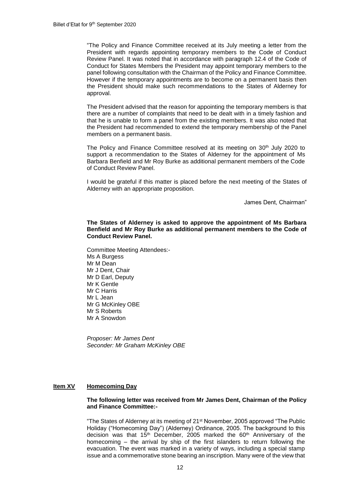"The Policy and Finance Committee received at its July meeting a letter from the President with regards appointing temporary members to the Code of Conduct Review Panel. It was noted that in accordance with paragraph 12.4 of the Code of Conduct for States Members the President may appoint temporary members to the panel following consultation with the Chairman of the Policy and Finance Committee. However if the temporary appointments are to become on a permanent basis then the President should make such recommendations to the States of Alderney for approval.

The President advised that the reason for appointing the temporary members is that there are a number of complaints that need to be dealt with in a timely fashion and that he is unable to form a panel from the existing members. It was also noted that the President had recommended to extend the temporary membership of the Panel members on a permanent basis.

The Policy and Finance Committee resolved at its meeting on 30<sup>th</sup> July 2020 to support a recommendation to the States of Alderney for the appointment of Ms Barbara Benfield and Mr Roy Burke as additional permanent members of the Code of Conduct Review Panel.

I would be grateful if this matter is placed before the next meeting of the States of Alderney with an appropriate proposition.

James Dent, Chairman"

#### **The States of Alderney is asked to approve the appointment of Ms Barbara Benfield and Mr Roy Burke as additional permanent members to the Code of Conduct Review Panel.**

Committee Meeting Attendees:- Ms A Burgess Mr M Dean Mr J Dent, Chair Mr D Earl, Deputy Mr K Gentle Mr C Harris Mr L Jean Mr G McKinley OBE Mr S Roberts Mr A Snowdon

*Proposer: Mr James Dent Seconder: Mr Graham McKinley OBE*

# **Item XV Homecoming Day**

## **The following letter was received from Mr James Dent, Chairman of the Policy and Finance Committee:-**

"The States of Alderney at its meeting of 21st November, 2005 approved "The Public Holiday ("Homecoming Day") (Alderney) Ordinance, 2005. The background to this decision was that 15<sup>th</sup> December, 2005 marked the 60<sup>th</sup> Anniversary of the homecoming – the arrival by ship of the first islanders to return following the evacuation. The event was marked in a variety of ways, including a special stamp issue and a commemorative stone bearing an inscription. Many were of the view that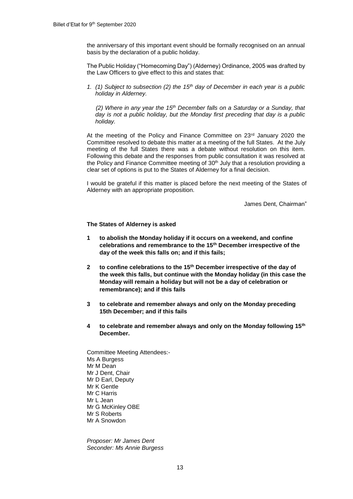the anniversary of this important event should be formally recognised on an annual basis by the declaration of a public holiday.

The Public Holiday ("Homecoming Day") (Alderney) Ordinance, 2005 was drafted by the Law Officers to give effect to this and states that:

*1. (1) Subject to subsection (2) the 15th day of December in each year is a public holiday in Alderney.* 

*(2) Where in any year the 15th December falls on a Saturday or a Sunday, that day is not a public holiday, but the Monday first preceding that day is a public holiday.* 

At the meeting of the Policy and Finance Committee on 23rd January 2020 the Committee resolved to debate this matter at a meeting of the full States. At the July meeting of the full States there was a debate without resolution on this item. Following this debate and the responses from public consultation it was resolved at the Policy and Finance Committee meeting of  $30<sup>th</sup>$  July that a resolution providing a clear set of options is put to the States of Alderney for a final decision.

I would be grateful if this matter is placed before the next meeting of the States of Alderney with an appropriate proposition.

James Dent, Chairman"

## **The States of Alderney is asked**

- **1 to abolish the Monday holiday if it occurs on a weekend, and confine celebrations and remembrance to the 15th December irrespective of the day of the week this falls on; and if this fails;**
- **2 to confine celebrations to the 15th December irrespective of the day of the week this falls, but continue with the Monday holiday (in this case the Monday will remain a holiday but will not be a day of celebration or remembrance); and if this fails**
- **3 to celebrate and remember always and only on the Monday preceding 15th December; and if this fails**
- **4 to celebrate and remember always and only on the Monday following 15th December.**

Committee Meeting Attendees:- Ms A Burgess Mr M Dean Mr J Dent, Chair Mr D Earl, Deputy Mr K Gentle Mr C Harris Mr L Jean Mr G McKinley OBE Mr S Roberts Mr A Snowdon

*Proposer: Mr James Dent Seconder: Ms Annie Burgess*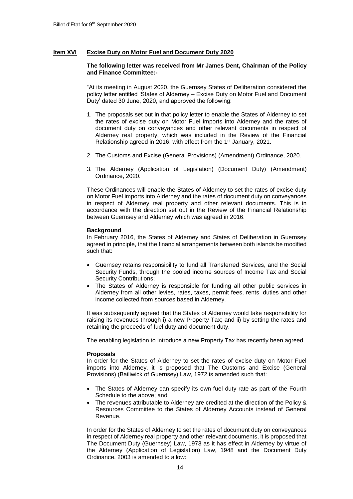# **Item XVI Excise Duty on Motor Fuel and Document Duty 2020**

## **The following letter was received from Mr James Dent, Chairman of the Policy and Finance Committee:-**

"At its meeting in August 2020, the Guernsey States of Deliberation considered the policy letter entitled 'States of Alderney – Excise Duty on Motor Fuel and Document Duty' dated 30 June, 2020, and approved the following:

- 1. The proposals set out in that policy letter to enable the States of Alderney to set the rates of excise duty on Motor Fuel imports into Alderney and the rates of document duty on conveyances and other relevant documents in respect of Alderney real property, which was included in the Review of the Financial Relationship agreed in 2016, with effect from the 1<sup>st</sup> January, 2021.
- 2. The Customs and Excise (General Provisions) (Amendment) Ordinance, 2020.
- 3. The Alderney (Application of Legislation) (Document Duty) (Amendment) Ordinance, 2020.

These Ordinances will enable the States of Alderney to set the rates of excise duty on Motor Fuel imports into Alderney and the rates of document duty on conveyances in respect of Alderney real property and other relevant documents. This is in accordance with the direction set out in the Review of the Financial Relationship between Guernsey and Alderney which was agreed in 2016.

#### **Background**

In February 2016, the States of Alderney and States of Deliberation in Guernsey agreed in principle, that the financial arrangements between both islands be modified such that:

- Guernsey retains responsibility to fund all Transferred Services, and the Social Security Funds, through the pooled income sources of Income Tax and Social Security Contributions;
- The States of Alderney is responsible for funding all other public services in Alderney from all other levies, rates, taxes, permit fees, rents, duties and other income collected from sources based in Alderney.

It was subsequently agreed that the States of Alderney would take responsibility for raising its revenues through i) a new Property Tax; and ii) by setting the rates and retaining the proceeds of fuel duty and document duty.

The enabling legislation to introduce a new Property Tax has recently been agreed.

## **Proposals**

In order for the States of Alderney to set the rates of excise duty on Motor Fuel imports into Alderney, it is proposed that The Customs and Excise (General Provisions) (Bailiwick of Guernsey) Law, 1972 is amended such that:

- The States of Alderney can specify its own fuel duty rate as part of the Fourth Schedule to the above; and
- The revenues attributable to Alderney are credited at the direction of the Policy & Resources Committee to the States of Alderney Accounts instead of General Revenue.

In order for the States of Alderney to set the rates of document duty on conveyances in respect of Alderney real property and other relevant documents, it is proposed that The Document Duty (Guernsey) Law, 1973 as it has effect in Alderney by virtue of the Alderney (Application of Legislation) Law, 1948 and the Document Duty Ordinance, 2003 is amended to allow: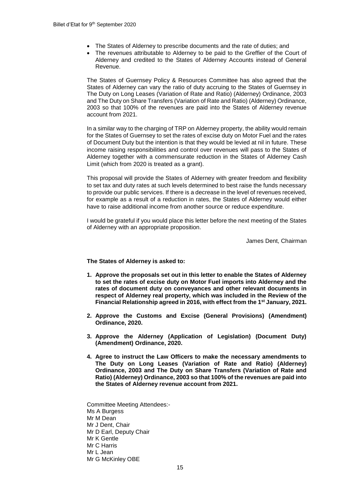- The States of Alderney to prescribe documents and the rate of duties; and
- The revenues attributable to Alderney to be paid to the Greffier of the Court of Alderney and credited to the States of Alderney Accounts instead of General Revenue.

The States of Guernsey Policy & Resources Committee has also agreed that the States of Alderney can vary the ratio of duty accruing to the States of Guernsey in The Duty on Long Leases (Variation of Rate and Ratio) (Alderney) Ordinance, 2003 and The Duty on Share Transfers (Variation of Rate and Ratio) (Alderney) Ordinance, 2003 so that 100% of the revenues are paid into the States of Alderney revenue account from 2021.

In a similar way to the charging of TRP on Alderney property, the ability would remain for the States of Guernsey to set the rates of excise duty on Motor Fuel and the rates of Document Duty but the intention is that they would be levied at nil in future. These income raising responsibilities and control over revenues will pass to the States of Alderney together with a commensurate reduction in the States of Alderney Cash Limit (which from 2020 is treated as a grant).

This proposal will provide the States of Alderney with greater freedom and flexibility to set tax and duty rates at such levels determined to best raise the funds necessary to provide our public services. If there is a decrease in the level of revenues received, for example as a result of a reduction in rates, the States of Alderney would either have to raise additional income from another source or reduce expenditure.

I would be grateful if you would place this letter before the next meeting of the States of Alderney with an appropriate proposition.

James Dent, Chairman

**The States of Alderney is asked to:** 

- **1. Approve the proposals set out in this letter to enable the States of Alderney to set the rates of excise duty on Motor Fuel imports into Alderney and the rates of document duty on conveyances and other relevant documents in respect of Alderney real property, which was included in the Review of the Financial Relationship agreed in 2016, with effect from the 1st January, 2021.**
- **2. Approve the Customs and Excise (General Provisions) (Amendment) Ordinance, 2020.**
- **3. Approve the Alderney (Application of Legislation) (Document Duty) (Amendment) Ordinance, 2020.**
- **4. Agree to instruct the Law Officers to make the necessary amendments to The Duty on Long Leases (Variation of Rate and Ratio) (Alderney) Ordinance, 2003 and The Duty on Share Transfers (Variation of Rate and Ratio) (Alderney) Ordinance, 2003 so that 100% of the revenues are paid into the States of Alderney revenue account from 2021.**

Committee Meeting Attendees:- Ms A Burgess Mr M Dean Mr J Dent, Chair Mr D Earl, Deputy Chair Mr K Gentle Mr C Harris Mr L Jean Mr G McKinley OBE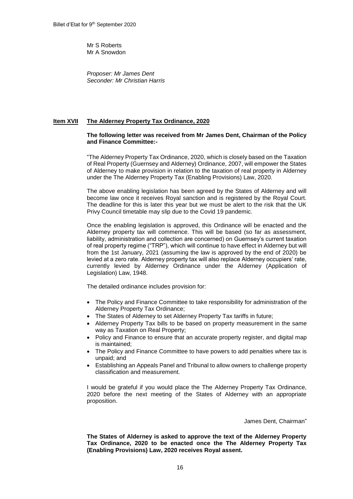Mr S Roberts Mr A Snowdon

*Proposer: Mr James Dent Seconder: Mr Christian Harris*

# **Item XVII The Alderney Property Tax Ordinance, 2020**

## **The following letter was received from Mr James Dent, Chairman of the Policy and Finance Committee:-**

"The Alderney Property Tax Ordinance, 2020, which is closely based on the Taxation of Real Property (Guernsey and Alderney) Ordinance, 2007, will empower the States of Alderney to make provision in relation to the taxation of real property in Alderney under the The Alderney Property Tax (Enabling Provisions) Law, 2020.

The above enabling legislation has been agreed by the States of Alderney and will become law once it receives Royal sanction and is registered by the Royal Court. The deadline for this is later this year but we must be alert to the risk that the UK Privy Council timetable may slip due to the Covid 19 pandemic.

Once the enabling legislation is approved, this Ordinance will be enacted and the Alderney property tax will commence. This will be based (so far as assessment, liability, administration and collection are concerned) on Guernsey's current taxation of real property regime ("TRP"), which will continue to have effect in Alderney but will from the 1st January, 2021 (assuming the law is approved by the end of 2020) be levied at a zero rate. Alderney property tax will also replace Alderney occupiers' rate, currently levied by Alderney Ordinance under the Alderney (Application of Legislation) Law, 1948.

The detailed ordinance includes provision for:

- The Policy and Finance Committee to take responsibility for administration of the Alderney Property Tax Ordinance;
- The States of Alderney to set Alderney Property Tax tariffs in future;
- Alderney Property Tax bills to be based on property measurement in the same way as Taxation on Real Property;
- Policy and Finance to ensure that an accurate property register, and digital map is maintained;
- The Policy and Finance Committee to have powers to add penalties where tax is unpaid; and
- Establishing an Appeals Panel and Tribunal to allow owners to challenge property classification and measurement.

I would be grateful if you would place the The Alderney Property Tax Ordinance, 2020 before the next meeting of the States of Alderney with an appropriate proposition.

James Dent, Chairman"

**The States of Alderney is asked to approve the text of the Alderney Property Tax Ordinance, 2020 to be enacted once the The Alderney Property Tax (Enabling Provisions) Law, 2020 receives Royal assent.**